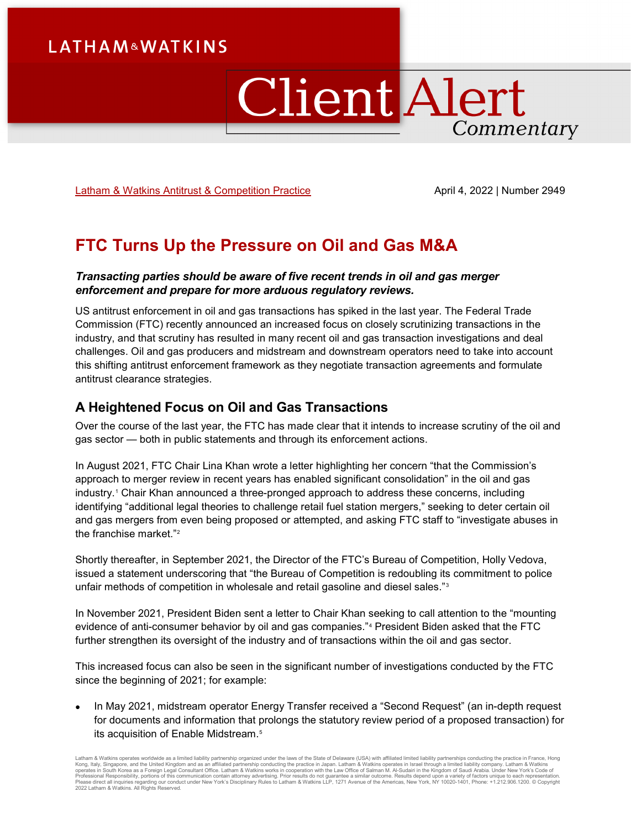## **LATHAM&WATKINS**

# **Client Alert** Commentary

[Latham & Watkins Antitrust & Competition Practice](https://www.lw.com/practices/AntitrustAndCompetition) April 4, 2022 | Number 2949

## **FTC Turns Up the Pressure on Oil and Gas M&A**

#### *Transacting parties should be aware of five recent trends in oil and gas merger enforcement and prepare for more arduous regulatory reviews.*

US antitrust enforcement in oil and gas transactions has spiked in the last year. The Federal Trade Commission (FTC) recently announced an increased focus on closely scrutinizing transactions in the industry, and that scrutiny has resulted in many recent oil and gas transaction investigations and deal challenges. Oil and gas producers and midstream and downstream operators need to take into account this shifting antitrust enforcement framework as they negotiate transaction agreements and formulate antitrust clearance strategies.

### **A Heightened Focus on Oil and Gas Transactions**

Over the course of the last year, the FTC has made clear that it intends to increase scrutiny of the oil and gas sector — both in public statements and through its enforcement actions.

In August 2021, FTC Chair Lina Khan wrote a letter highlighting her concern "that the Commission's approach to merger review in recent years has enabled significant consolidation" in the oil and gas industry.[1](#page-5-0) Chair Khan announced a three-pronged approach to address these concerns, including identifying "additional legal theories to challenge retail fuel station mergers," seeking to deter certain oil and gas mergers from even being proposed or attempted, and asking FTC staff to "investigate abuses in the franchise market."[2](#page-5-1)

Shortly thereafter, in September 2021, the Director of the FTC's Bureau of Competition, Holly Vedova, issued a statement underscoring that "the Bureau of Competition is redoubling its commitment to police unfair methods of competition in wholesale and retail gasoline and diesel sales."[3](#page-5-2)

In November 2021, President Biden sent a letter to Chair Khan seeking to call attention to the "mounting evidence of anti-consumer behavior by oil and gas companies."[4](#page-5-3) President Biden asked that the FTC further strengthen its oversight of the industry and of transactions within the oil and gas sector.

This increased focus can also be seen in the significant number of investigations conducted by the FTC since the beginning of 2021; for example:

• In May 2021, midstream operator Energy Transfer received a "Second Request" (an in-depth request for documents and information that prolongs the statutory review period of a proposed transaction) for its acquisition of Enable Midstream.<sup>[5](#page-5-4)</sup>

Latham & Watkins operates worldwide as a limited liability partnership organized under the laws of the State of Delaware (USA) with affiliated limited liability partnerships conducting the practice in France, Hong Kong, Italy, Singapore, and the United Kingdom and as an affiliated partnership conducting the practice in Japan. Latham & Watkins operates in Israel through a limited liability company. Latham & Watkins<br>operates in South 2022 Latham & Watkins. All Rights Reserved.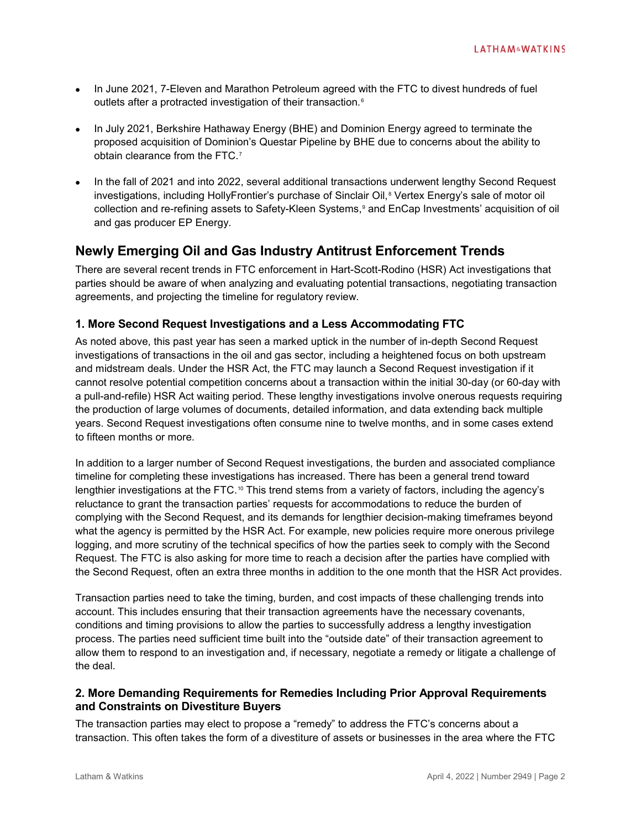- In June 2021, 7-Eleven and Marathon Petroleum agreed with the FTC to divest hundreds of fuel outlets after a protracted investigation of their transaction.<sup>[6](#page-5-5)</sup>
- In July 2021, Berkshire Hathaway Energy (BHE) and Dominion Energy agreed to terminate the proposed acquisition of Dominion's Questar Pipeline by BHE due to concerns about the ability to obtain clearance from the FTC.[7](#page-5-6)
- In the fall of 2021 and into 2022, several additional transactions underwent lengthy Second Request investigations, including HollyFrontier's purchase of Sinclair Oil, [8](#page-5-7) Vertex Energy's sale of motor oil collection and re-refining assets to Safety-Kleen Systems,[9](#page-5-8) and EnCap Investments' acquisition of oil and gas producer EP Energy.

#### **Newly Emerging Oil and Gas Industry Antitrust Enforcement Trends**

There are several recent trends in FTC enforcement in Hart-Scott-Rodino (HSR) Act investigations that parties should be aware of when analyzing and evaluating potential transactions, negotiating transaction agreements, and projecting the timeline for regulatory review.

#### **1. More Second Request Investigations and a Less Accommodating FTC**

As noted above, this past year has seen a marked uptick in the number of in-depth Second Request investigations of transactions in the oil and gas sector, including a heightened focus on both upstream and midstream deals. Under the HSR Act, the FTC may launch a Second Request investigation if it cannot resolve potential competition concerns about a transaction within the initial 30-day (or 60-day with a pull-and-refile) HSR Act waiting period. These lengthy investigations involve onerous requests requiring the production of large volumes of documents, detailed information, and data extending back multiple years. Second Request investigations often consume nine to twelve months, and in some cases extend to fifteen months or more.

In addition to a larger number of Second Request investigations, the burden and associated compliance timeline for completing these investigations has increased. There has been a general trend toward lengthier investigations at the FTC.<sup>[10](#page-5-9)</sup> This trend stems from a variety of factors, including the agency's reluctance to grant the transaction parties' requests for accommodations to reduce the burden of complying with the Second Request, and its demands for lengthier decision-making timeframes beyond what the agency is permitted by the HSR Act. For example, new policies require more onerous privilege logging, and more scrutiny of the technical specifics of how the parties seek to comply with the Second Request. The FTC is also asking for more time to reach a decision after the parties have complied with the Second Request, often an extra three months in addition to the one month that the HSR Act provides.

Transaction parties need to take the timing, burden, and cost impacts of these challenging trends into account. This includes ensuring that their transaction agreements have the necessary covenants, conditions and timing provisions to allow the parties to successfully address a lengthy investigation process. The parties need sufficient time built into the "outside date" of their transaction agreement to allow them to respond to an investigation and, if necessary, negotiate a remedy or litigate a challenge of the deal.

#### **2. More Demanding Requirements for Remedies Including Prior Approval Requirements and Constraints on Divestiture Buyers**

The transaction parties may elect to propose a "remedy" to address the FTC's concerns about a transaction. This often takes the form of a divestiture of assets or businesses in the area where the FTC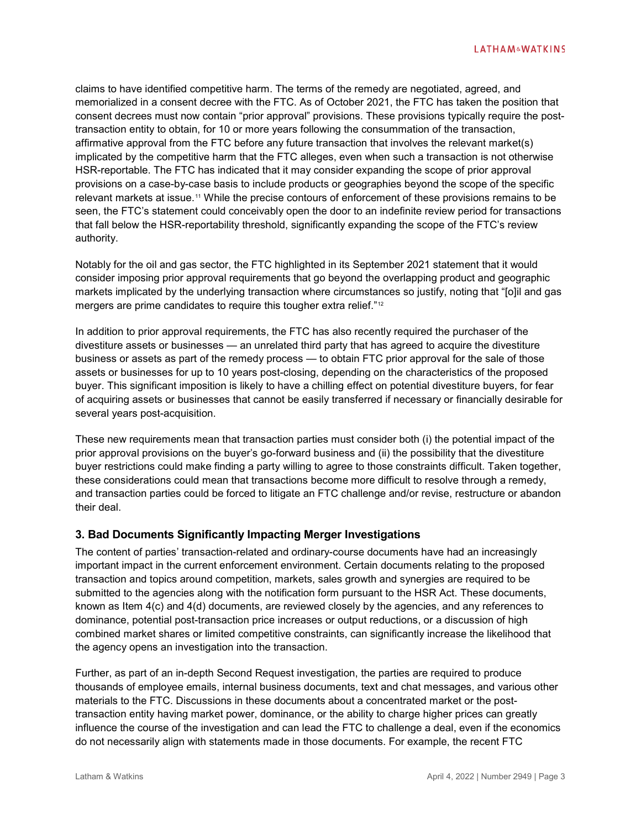claims to have identified competitive harm. The terms of the remedy are negotiated, agreed, and memorialized in a consent decree with the FTC. As of October 2021, the FTC has taken the position that consent decrees must now contain "prior approval" provisions. These provisions typically require the posttransaction entity to obtain, for 10 or more years following the consummation of the transaction, affirmative approval from the FTC before any future transaction that involves the relevant market(s) implicated by the competitive harm that the FTC alleges, even when such a transaction is not otherwise HSR-reportable. The FTC has indicated that it may consider expanding the scope of prior approval provisions on a case-by-case basis to include products or geographies beyond the scope of the specific relevant markets at issue.<sup>[11](#page-5-10)</sup> While the precise contours of enforcement of these provisions remains to be seen, the FTC's statement could conceivably open the door to an indefinite review period for transactions that fall below the HSR-reportability threshold, significantly expanding the scope of the FTC's review authority.

Notably for the oil and gas sector, the FTC highlighted in its September 2021 statement that it would consider imposing prior approval requirements that go beyond the overlapping product and geographic markets implicated by the underlying transaction where circumstances so justify, noting that "[o]il and gas mergers are prime candidates to require this tougher extra relief."<sup>[12](#page-5-11)</sup>

In addition to prior approval requirements, the FTC has also recently required the purchaser of the divestiture assets or businesses — an unrelated third party that has agreed to acquire the divestiture business or assets as part of the remedy process — to obtain FTC prior approval for the sale of those assets or businesses for up to 10 years post-closing, depending on the characteristics of the proposed buyer. This significant imposition is likely to have a chilling effect on potential divestiture buyers, for fear of acquiring assets or businesses that cannot be easily transferred if necessary or financially desirable for several years post-acquisition.

These new requirements mean that transaction parties must consider both (i) the potential impact of the prior approval provisions on the buyer's go-forward business and (ii) the possibility that the divestiture buyer restrictions could make finding a party willing to agree to those constraints difficult. Taken together, these considerations could mean that transactions become more difficult to resolve through a remedy, and transaction parties could be forced to litigate an FTC challenge and/or revise, restructure or abandon their deal.

#### **3. Bad Documents Significantly Impacting Merger Investigations**

The content of parties' transaction-related and ordinary-course documents have had an increasingly important impact in the current enforcement environment. Certain documents relating to the proposed transaction and topics around competition, markets, sales growth and synergies are required to be submitted to the agencies along with the notification form pursuant to the HSR Act. These documents, known as Item 4(c) and 4(d) documents, are reviewed closely by the agencies, and any references to dominance, potential post-transaction price increases or output reductions, or a discussion of high combined market shares or limited competitive constraints, can significantly increase the likelihood that the agency opens an investigation into the transaction.

Further, as part of an in-depth Second Request investigation, the parties are required to produce thousands of employee emails, internal business documents, text and chat messages, and various other materials to the FTC. Discussions in these documents about a concentrated market or the posttransaction entity having market power, dominance, or the ability to charge higher prices can greatly influence the course of the investigation and can lead the FTC to challenge a deal, even if the economics do not necessarily align with statements made in those documents. For example, the recent FTC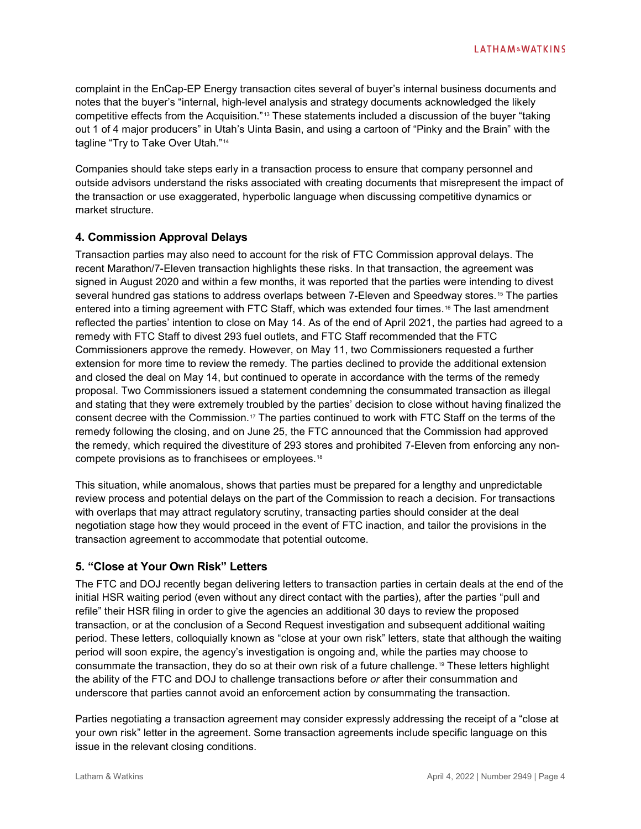complaint in the EnCap-EP Energy transaction cites several of buyer's internal business documents and notes that the buyer's "internal, high-level analysis and strategy documents acknowledged the likely competitive effects from the Acquisition."[13](#page-5-12) These statements included a discussion of the buyer "taking out 1 of 4 major producers" in Utah's Uinta Basin, and using a cartoon of "Pinky and the Brain" with the tagline "Try to Take Over Utah."[14](#page-5-13)

Companies should take steps early in a transaction process to ensure that company personnel and outside advisors understand the risks associated with creating documents that misrepresent the impact of the transaction or use exaggerated, hyperbolic language when discussing competitive dynamics or market structure.

#### **4. Commission Approval Delays**

Transaction parties may also need to account for the risk of FTC Commission approval delays. The recent Marathon/7-Eleven transaction highlights these risks. In that transaction, the agreement was signed in August 2020 and within a few months, it was reported that the parties were intending to divest several hundred gas stations to address overlaps between 7-Eleven and Speedway stores.<sup>[15](#page-5-14)</sup> The parties entered into a timing agreement with FTC Staff, which was extended four times.<sup>[16](#page-5-15)</sup> The last amendment reflected the parties' intention to close on May 14. As of the end of April 2021, the parties had agreed to a remedy with FTC Staff to divest 293 fuel outlets, and FTC Staff recommended that the FTC Commissioners approve the remedy. However, on May 11, two Commissioners requested a further extension for more time to review the remedy. The parties declined to provide the additional extension and closed the deal on May 14, but continued to operate in accordance with the terms of the remedy proposal. Two Commissioners issued a statement condemning the consummated transaction as illegal and stating that they were extremely troubled by the parties' decision to close without having finalized the consent decree with the Commission.[17](#page-5-16) The parties continued to work with FTC Staff on the terms of the remedy following the closing, and on June 25, the FTC announced that the Commission had approved the remedy, which required the divestiture of 293 stores and prohibited 7-Eleven from enforcing any noncompete provisions as to franchisees or employees.[18](#page-5-17)

This situation, while anomalous, shows that parties must be prepared for a lengthy and unpredictable review process and potential delays on the part of the Commission to reach a decision. For transactions with overlaps that may attract regulatory scrutiny, transacting parties should consider at the deal negotiation stage how they would proceed in the event of FTC inaction, and tailor the provisions in the transaction agreement to accommodate that potential outcome.

#### **5. "Close at Your Own Risk" Letters**

The FTC and DOJ recently began delivering letters to transaction parties in certain deals at the end of the initial HSR waiting period (even without any direct contact with the parties), after the parties "pull and refile" their HSR filing in order to give the agencies an additional 30 days to review the proposed transaction, or at the conclusion of a Second Request investigation and subsequent additional waiting period. These letters, colloquially known as "close at your own risk" letters, state that although the waiting period will soon expire, the agency's investigation is ongoing and, while the parties may choose to consummate the transaction, they do so at their own risk of a future challenge.[19](#page-5-18) These letters highlight the ability of the FTC and DOJ to challenge transactions before *or* after their consummation and underscore that parties cannot avoid an enforcement action by consummating the transaction.

Parties negotiating a transaction agreement may consider expressly addressing the receipt of a "close at your own risk" letter in the agreement. Some transaction agreements include specific language on this issue in the relevant closing conditions.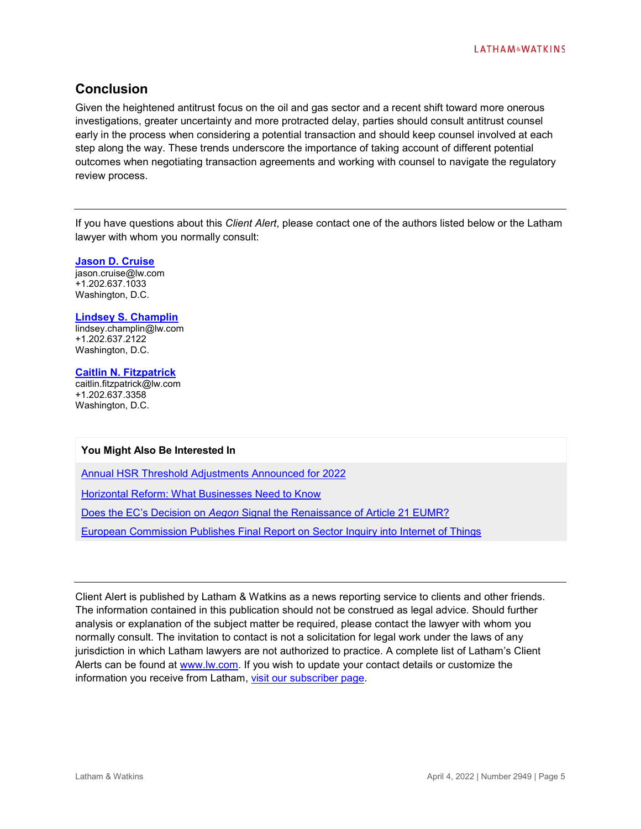### **Conclusion**

Given the heightened antitrust focus on the oil and gas sector and a recent shift toward more onerous investigations, greater uncertainty and more protracted delay, parties should consult antitrust counsel early in the process when considering a potential transaction and should keep counsel involved at each step along the way. These trends underscore the importance of taking account of different potential outcomes when negotiating transaction agreements and working with counsel to navigate the regulatory review process.

If you have questions about this *Client Alert*, please contact one of the authors listed below or the Latham lawyer with whom you normally consult:

**[Jason D. Cruise](https://www.lw.com/people/jason-cruise)**

jason.cruise@lw.com +1.202.637.1033 Washington, D.C.

**[Lindsey S. Champlin](https://www.lw.com/people/LindseySChamplin)** lindsey.champlin@lw.com +1.202.637.2122 Washington, D.C.

**[Caitlin N. Fitzpatrick](https://www.lw.com/people/caitlin-fitzpatrick)** caitlin.fitzpatrick@lw.com +1.202.637.3358 Washington, D.C.

#### **You Might Also Be Interested In**

[Annual HSR Threshold Adjustments Announced for 2022](https://www.lw.com/thoughtLeadership/annual-hsr-threshold-adjustments-announced-for-2022)

[Horizontal Reform: What Businesses Need to Know](https://www.lw.com/thoughtLeadership/Horizontal-Reform-What-Businesses-Need-to-Know)

Does the EC's Decision on *Aegon* [Signal the Renaissance of Article 21 EUMR?](https://www.lw.com/thoughtLeadership/Does-the-EC%E2%80%99s-Decision-on-Aegon-Signal-the-Renaissance-of-Article-21-EUMR)

[European Commission Publishes Final Report on Sector Inquiry into Internet of Things](https://www.lw.com/thoughtLeadership/european-commission-publishes-final-report-on-sector-inquiry-into-internet-of-things)

Client Alert is published by Latham & Watkins as a news reporting service to clients and other friends. The information contained in this publication should not be construed as legal advice. Should further analysis or explanation of the subject matter be required, please contact the lawyer with whom you normally consult. The invitation to contact is not a solicitation for legal work under the laws of any jurisdiction in which Latham lawyers are not authorized to practice. A complete list of Latham's Client Alerts can be found at [www.lw.com.](http://www.lw.com/) If you wish to update your contact details or customize the information you receive from Latham, [visit our subscriber page.](https://www.sites.lwcommunicate.com/5/2399/forms-english/subscribe.asp)